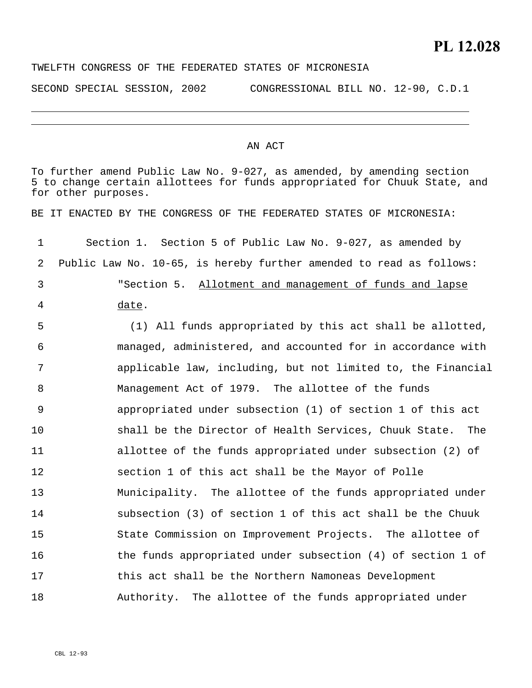TWELFTH CONGRESS OF THE FEDERATED STATES OF MICRONESIA

SECOND SPECIAL SESSION, 2002 CONGRESSIONAL BILL NO. 12-90, C.D.1

## AN ACT

To further amend Public Law No. 9-027, as amended, by amending section 5 to change certain allottees for funds appropriated for Chuuk State, and for other purposes. BE IT ENACTED BY THE CONGRESS OF THE FEDERATED STATES OF MICRONESIA: 1 2 Section 1. Section 5 of Public Law No. 9-027, as amended by Public Law No. 10-65, is hereby further amended to read as follows: "Section 5. Allotment and management of funds and lapse date. 3 4 5 6 7 8 9 10 11 12 13 14 15 16 17 18 (1) All funds appropriated by this act shall be allotted, managed, administered, and accounted for in accordance with applicable law, including, but not limited to, the Financial Management Act of 1979. The allottee of the funds appropriated under subsection (1) of section 1 of this act shall be the Director of Health Services, Chuuk State. The allottee of the funds appropriated under subsection (2) of section 1 of this act shall be the Mayor of Polle Municipality. The allottee of the funds appropriated under subsection (3) of section 1 of this act shall be the Chuuk State Commission on Improvement Projects. The allottee of the funds appropriated under subsection (4) of section 1 of this act shall be the Northern Namoneas Development Authority. The allottee of the funds appropriated under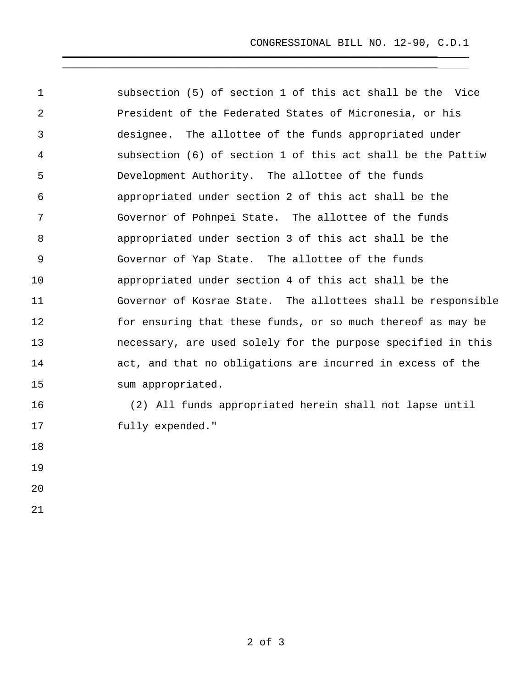CONGRESSIONAL BILL NO. 12-90, C.D.1

1 2 3 4 5 6 7 8 9 10 11 12 13 14 15 subsection (5) of section 1 of this act shall be the Vice President of the Federated States of Micronesia, or his designee. The allottee of the funds appropriated under subsection (6) of section 1 of this act shall be the Pattiw Development Authority. The allottee of the funds appropriated under section 2 of this act shall be the Governor of Pohnpei State. The allottee of the funds appropriated under section 3 of this act shall be the Governor of Yap State. The allottee of the funds appropriated under section 4 of this act shall be the Governor of Kosrae State. The allottees shall be responsible for ensuring that these funds, or so much thereof as may be necessary, are used solely for the purpose specified in this act, and that no obligations are incurred in excess of the sum appropriated.

 $\overline{\phantom{a}}$  , and the contract of the contract of the contract of the contract of the contract of the contract of the contract of the contract of the contract of the contract of the contract of the contract of the contrac  $\overline{\phantom{a}}$  , and the contract of the contract of the contract of the contract of the contract of the contract of the contract of the contract of the contract of the contract of the contract of the contract of the contrac

16 17 (2) All funds appropriated herein shall not lapse until fully expended."

18

19

20

21